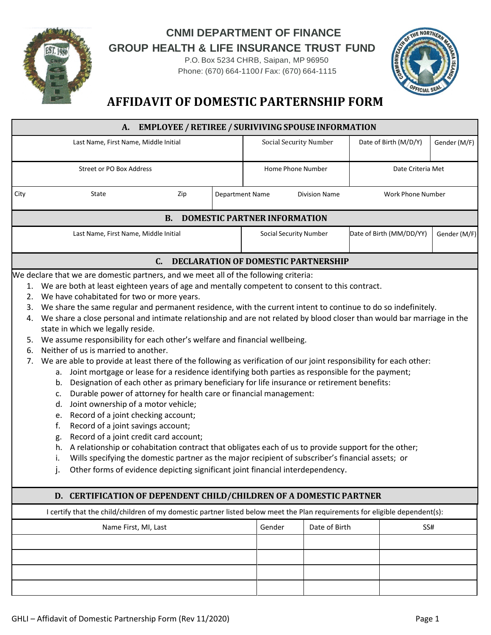

## **CNMI DEPARTMENT OF FINANCE GROUP HEALTH & LIFE INSURANCE TRUST FUND**

P.O. Box 5234 CHRB, Saipan, MP 96950 Phone: (670) 664-1100 *I* Fax: (670) 664-1115



## **AFFIDAVIT OF DOMESTIC PARTERNSHIP FORM**

| <b>EMPLOYEE / RETIREE / SURIVIVING SPOUSE INFORMATION</b><br>A.                                                                                                                                                                                                                                                                                                                                                                                                                                                                                                                                                                                                                                                                                                                                                                                                                                                                                                                                                                                                                                                                                                                                                                                                                                                                                                                                                                                                                                                                                                                                    |                                       |     |                        |                               |                      |                   |                          |              |  |
|----------------------------------------------------------------------------------------------------------------------------------------------------------------------------------------------------------------------------------------------------------------------------------------------------------------------------------------------------------------------------------------------------------------------------------------------------------------------------------------------------------------------------------------------------------------------------------------------------------------------------------------------------------------------------------------------------------------------------------------------------------------------------------------------------------------------------------------------------------------------------------------------------------------------------------------------------------------------------------------------------------------------------------------------------------------------------------------------------------------------------------------------------------------------------------------------------------------------------------------------------------------------------------------------------------------------------------------------------------------------------------------------------------------------------------------------------------------------------------------------------------------------------------------------------------------------------------------------------|---------------------------------------|-----|------------------------|-------------------------------|----------------------|-------------------|--------------------------|--------------|--|
|                                                                                                                                                                                                                                                                                                                                                                                                                                                                                                                                                                                                                                                                                                                                                                                                                                                                                                                                                                                                                                                                                                                                                                                                                                                                                                                                                                                                                                                                                                                                                                                                    | Last Name, First Name, Middle Initial |     |                        | <b>Social Security Number</b> |                      |                   | Date of Birth (M/D/Y)    | Gender (M/F) |  |
|                                                                                                                                                                                                                                                                                                                                                                                                                                                                                                                                                                                                                                                                                                                                                                                                                                                                                                                                                                                                                                                                                                                                                                                                                                                                                                                                                                                                                                                                                                                                                                                                    | Street or PO Box Address              |     |                        | Home Phone Number             |                      | Date Criteria Met |                          |              |  |
| City                                                                                                                                                                                                                                                                                                                                                                                                                                                                                                                                                                                                                                                                                                                                                                                                                                                                                                                                                                                                                                                                                                                                                                                                                                                                                                                                                                                                                                                                                                                                                                                               | State                                 | Zip | <b>Department Name</b> |                               | <b>Division Name</b> |                   | Work Phone Number        |              |  |
| <b>DOMESTIC PARTNER INFORMATION</b><br><b>B.</b>                                                                                                                                                                                                                                                                                                                                                                                                                                                                                                                                                                                                                                                                                                                                                                                                                                                                                                                                                                                                                                                                                                                                                                                                                                                                                                                                                                                                                                                                                                                                                   |                                       |     |                        |                               |                      |                   |                          |              |  |
|                                                                                                                                                                                                                                                                                                                                                                                                                                                                                                                                                                                                                                                                                                                                                                                                                                                                                                                                                                                                                                                                                                                                                                                                                                                                                                                                                                                                                                                                                                                                                                                                    | Last Name, First Name, Middle Initial |     |                        | Social Security Number        |                      |                   | Date of Birth (MM/DD/YY) | Gender (M/F) |  |
| C.<br><b>DECLARATION OF DOMESTIC PARTNERSHIP</b>                                                                                                                                                                                                                                                                                                                                                                                                                                                                                                                                                                                                                                                                                                                                                                                                                                                                                                                                                                                                                                                                                                                                                                                                                                                                                                                                                                                                                                                                                                                                                   |                                       |     |                        |                               |                      |                   |                          |              |  |
| We declare that we are domestic partners, and we meet all of the following criteria:<br>1. We are both at least eighteen years of age and mentally competent to consent to this contract.<br>2. We have cohabitated for two or more years.<br>We share the same regular and permanent residence, with the current intent to continue to do so indefinitely.<br>3.<br>We share a close personal and intimate relationship and are not related by blood closer than would bar marriage in the<br>4.<br>state in which we legally reside.<br>We assume responsibility for each other's welfare and financial wellbeing.<br>5.<br>Neither of us is married to another.<br>6.<br>We are able to provide at least there of the following as verification of our joint responsibility for each other:<br>7.<br>a. Joint mortgage or lease for a residence identifying both parties as responsible for the payment;<br>Designation of each other as primary beneficiary for life insurance or retirement benefits:<br>b.<br>Durable power of attorney for health care or financial management:<br>c.<br>Joint ownership of a motor vehicle;<br>d.<br>Record of a joint checking account;<br>e.<br>Record of a joint savings account;<br>f.<br>Record of a joint credit card account;<br>g.<br>A relationship or cohabitation contract that obligates each of us to provide support for the other;<br>h.<br>Wills specifying the domestic partner as the major recipient of subscriber's financial assets; or<br>i.<br>Other forms of evidence depicting significant joint financial interdependency.<br>j. |                                       |     |                        |                               |                      |                   |                          |              |  |
| D. CERTIFICATION OF DEPENDENT CHILD/CHILDREN OF A DOMESTIC PARTNER                                                                                                                                                                                                                                                                                                                                                                                                                                                                                                                                                                                                                                                                                                                                                                                                                                                                                                                                                                                                                                                                                                                                                                                                                                                                                                                                                                                                                                                                                                                                 |                                       |     |                        |                               |                      |                   |                          |              |  |
| I certify that the child/children of my domestic partner listed below meet the Plan requirements for eligible dependent(s):                                                                                                                                                                                                                                                                                                                                                                                                                                                                                                                                                                                                                                                                                                                                                                                                                                                                                                                                                                                                                                                                                                                                                                                                                                                                                                                                                                                                                                                                        |                                       |     |                        |                               |                      |                   |                          |              |  |
| Gender<br>Date of Birth<br>Name First, MI, Last<br>SS#                                                                                                                                                                                                                                                                                                                                                                                                                                                                                                                                                                                                                                                                                                                                                                                                                                                                                                                                                                                                                                                                                                                                                                                                                                                                                                                                                                                                                                                                                                                                             |                                       |     |                        |                               |                      |                   |                          |              |  |
|                                                                                                                                                                                                                                                                                                                                                                                                                                                                                                                                                                                                                                                                                                                                                                                                                                                                                                                                                                                                                                                                                                                                                                                                                                                                                                                                                                                                                                                                                                                                                                                                    |                                       |     |                        |                               |                      |                   |                          |              |  |
|                                                                                                                                                                                                                                                                                                                                                                                                                                                                                                                                                                                                                                                                                                                                                                                                                                                                                                                                                                                                                                                                                                                                                                                                                                                                                                                                                                                                                                                                                                                                                                                                    |                                       |     |                        |                               |                      |                   |                          |              |  |
|                                                                                                                                                                                                                                                                                                                                                                                                                                                                                                                                                                                                                                                                                                                                                                                                                                                                                                                                                                                                                                                                                                                                                                                                                                                                                                                                                                                                                                                                                                                                                                                                    |                                       |     |                        |                               |                      |                   |                          |              |  |